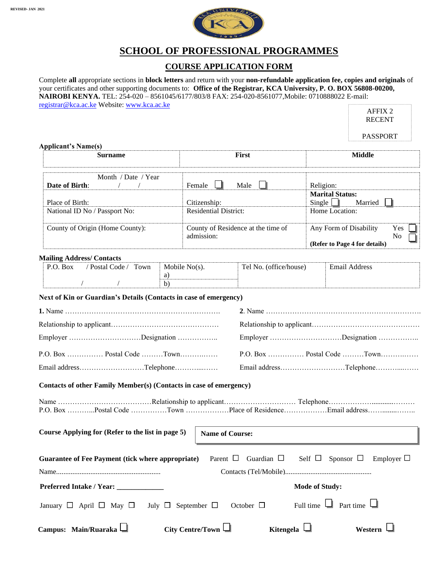

## **SCHOOL OF PROFESSIONAL PROGRAMMES**

### **COURSE APPLICATION FORM**

Complete **all** appropriate sections in **block letters** and return with your **non-refundable application fee, copies and originals** of your certificates and other supporting documents to: **Office of the Registrar, KCA University, P. O. BOX 56808-00200, NAIROBI KENYA.** TEL: 254-020 – 8561045/6177/803/8 FAX: 254-020-8561077,Mobile: 0710888022 E-mail: [registrar@kca.ac.ke](mailto:registrar@kca.ac.ke) Website: [www.kca.ac.ke](http://www.kca.ac.ke/) r h

|                                                                     |                              |                                    |                       | <b>AFFIX 2</b><br><b>RECENT</b>                                                  |
|---------------------------------------------------------------------|------------------------------|------------------------------------|-----------------------|----------------------------------------------------------------------------------|
|                                                                     |                              |                                    |                       | <b>PASSPORT</b>                                                                  |
| <b>Applicant's Name(s)</b><br><b>Surname</b>                        |                              | First                              |                       | <b>Middle</b>                                                                    |
| Month / Date / Year                                                 |                              |                                    |                       |                                                                                  |
| Date of Birth:<br>$\sqrt{2}$                                        | Female                       | Male                               | Religion:             | <b>Marital Status:</b>                                                           |
| Place of Birth:                                                     | Citizenship:                 |                                    | Single $\Box$         | Married                                                                          |
| National ID No / Passport No:                                       |                              | <b>Residential District:</b>       |                       | Home Location:                                                                   |
| County of Origin (Home County):                                     | admission:                   | County of Residence at the time of |                       | Any Form of Disability<br>Yes<br>N <sub>o</sub><br>(Refer to Page 4 for details) |
|                                                                     |                              |                                    |                       |                                                                                  |
| <b>Mailing Address/Contacts</b><br>/ Postal Code / Town<br>P.O. Box | Mobile $No(s)$ .             | Tel No. (office/house)             |                       | <b>Email Address</b>                                                             |
|                                                                     | a)                           |                                    |                       |                                                                                  |
| $\sqrt{2}$<br>$\sqrt{2}$                                            | b)                           |                                    |                       |                                                                                  |
| Next of Kin or Guardian's Details (Contacts in case of emergency)   |                              |                                    |                       |                                                                                  |
|                                                                     |                              |                                    |                       |                                                                                  |
|                                                                     |                              |                                    |                       |                                                                                  |
| Employer Designation                                                |                              |                                    |                       | Employer Designation                                                             |
|                                                                     |                              |                                    |                       | P.O. Box  Postal Code Town                                                       |
| Email addressTelephone                                              |                              |                                    |                       | Email addressTelephone                                                           |
| Contacts of other Family Member(s) (Contacts in case of emergency)  |                              |                                    |                       |                                                                                  |
|                                                                     |                              |                                    |                       |                                                                                  |
| Course Applying for (Refer to the list in page 5)                   |                              | <b>Name of Course:</b>             |                       |                                                                                  |
| <b>Guarantee of Fee Payment (tick where appropriate)</b>            |                              | Parent $\Box$<br>Guardian $\Box$   |                       | Self $\Box$ Sponsor $\Box$ Employer $\Box$                                       |
|                                                                     |                              |                                    |                       |                                                                                  |
| Preferred Intake / Year: _____________                              |                              |                                    | <b>Mode of Study:</b> |                                                                                  |
| January $\Box$ April $\Box$ May $\Box$                              | July $\Box$ September $\Box$ | October $\Box$                     | Full time $\Box$      | Part time $\Box$                                                                 |

Campus: Main/Ruaraka □ City Centre/Town □ Kitengela □ Western □

| City Centre/Town |  |
|------------------|--|
|                  |  |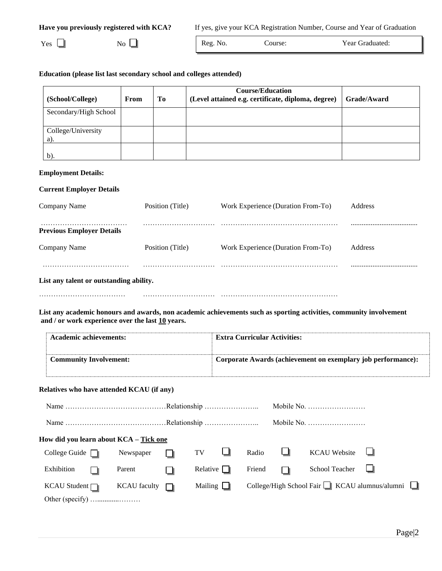|  | Have you previously registered with KCA? |  |  |  |
|--|------------------------------------------|--|--|--|
|--|------------------------------------------|--|--|--|

If yes, give your KCA Registration Number, Course and Year of Graduation

 $Yes \Box$  No Reg. No. Course: Year Graduated:

### **Education (please list last secondary school and colleges attended)**

| (School/College)          | From | Tо | <b>Course/Education</b><br>(Level attained e.g. certificate, diploma, degree) | Grade/Award |
|---------------------------|------|----|-------------------------------------------------------------------------------|-------------|
| Secondary/High School     |      |    |                                                                               |             |
| College/University<br>a). |      |    |                                                                               |             |
| b).                       |      |    |                                                                               |             |

#### **Employment Details:**

### **Current Employer Details**

| Company Name                            | Position (Title) | Work Experience (Duration From-To) | Address        |
|-----------------------------------------|------------------|------------------------------------|----------------|
| <b>Previous Employer Details</b>        |                  |                                    |                |
| Company Name                            | Position (Title) | Work Experience (Duration From-To) | <b>Address</b> |
|                                         |                  |                                    |                |
| List any talent or outstanding ability. |                  |                                    |                |
|                                         |                  |                                    |                |

**List any academic honours and awards, non academic achievements such as sporting activities, community involvement and / or work experience over the last 10 years.**

| Academic achievements:        | <b>Extra Curricular Activities:</b>                          |
|-------------------------------|--------------------------------------------------------------|
| <b>Community Involvement:</b> | Corporate Awards (achievement on exemplary job performance): |

#### **Relatives who have attended KCAU (if any)**

|                                        |                       |                 |        |   | Mobile No.                                                 |  |
|----------------------------------------|-----------------------|-----------------|--------|---|------------------------------------------------------------|--|
|                                        |                       |                 |        |   | Mobile No.                                                 |  |
| How did you learn about KCA – Tick one |                       |                 |        |   |                                                            |  |
| College Guide $\Box$                   | Newspaper             | $TV$ $\Box$     | Radio  | Ш | $KCAU$ Website $\Box$                                      |  |
| Exhibition                             | Parent                | Relative $\Box$ | Friend |   | School Teacher $\Box$                                      |  |
| $KCAU$ Student $\neg$                  | $KCAU$ faculty $\Box$ | Mailing $\Box$  |        |   | College/High School Fair $\Box$ KCAU alumnus/alumni $\Box$ |  |
|                                        |                       |                 |        |   |                                                            |  |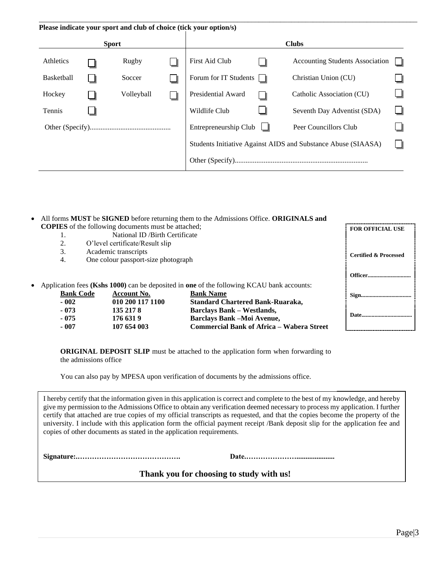|                   |              |            | Please indicate your sport and club of choice (tick your option/s) |                                                               |  |
|-------------------|--------------|------------|--------------------------------------------------------------------|---------------------------------------------------------------|--|
|                   | <b>Sport</b> |            |                                                                    | <b>Clubs</b>                                                  |  |
| Athletics         |              | Rugby      | First Aid Club                                                     | <b>Accounting Students Association</b>                        |  |
| <b>Basketball</b> |              | Soccer     | Forum for IT Students $\Box$                                       | Christian Union (CU)                                          |  |
| Hockey            |              | Volleyball | Presidential Award                                                 | Catholic Association (CU)                                     |  |
| Tennis            |              |            | Wildlife Club                                                      | Seventh Day Adventist (SDA)                                   |  |
|                   |              |            | Entrepreneurship Club                                              | Peer Councillors Club                                         |  |
|                   |              |            |                                                                    | Students Initiative Against AIDS and Substance Abuse (SIAASA) |  |
|                   |              |            |                                                                    |                                                               |  |

- All forms **MUST** be **SIGNED** before returning them to the Admissions Office. **ORIGINALS and COPIES** of the following documents must be attached;
	- 1. National ID /Birth Certificate
	- 2. O'level certificate/Result slip
	- 3. Academic transcripts
	- 4. One colour passport-size photograph
- Application fees (Kshs 1000) can be deposited in one of the following KCAU bank

| <b>Bank Code</b> | <b>Account No.</b> | <b>Bank Name</b>                                 |
|------------------|--------------------|--------------------------------------------------|
| $-002$           | 010 200 117 1100   | <b>Standard Chartered Bank-Ruaraka,</b>          |
| $-073$           | 135 217 8          | <b>Barclays Bank – Westlands,</b>                |
| $-075$           | 176 631 9          | <b>Barclays Bank –Moi Avenue,</b>                |
| $-007$           | 107 654 003        | <b>Commercial Bank of Africa – Wabera Street</b> |

**FOR OFFICIAL USE**

**Certified & Processed**

**ORIGINAL DEPOSIT SLIP** must be attached to the application form when forwarding to the admissions office

You can also pay by MPESA upon verification of documents by the admissions office.

I hereby certify that the information given in this application is correct and complete to the best of my knowledge, and hereby give my permission to the Admissions Office to obtain any verification deemed necessary to process my application. I further certify that attached are true copies of my official transcripts as requested, and that the copies become the property of the university. I include with this application form the official payment receipt /Bank deposit slip for the application fee and copies of other documents as stated in the application requirements.

**Signature:.……………………………………. Date.………………….....................**

### **Thank you for choosing to study with us!**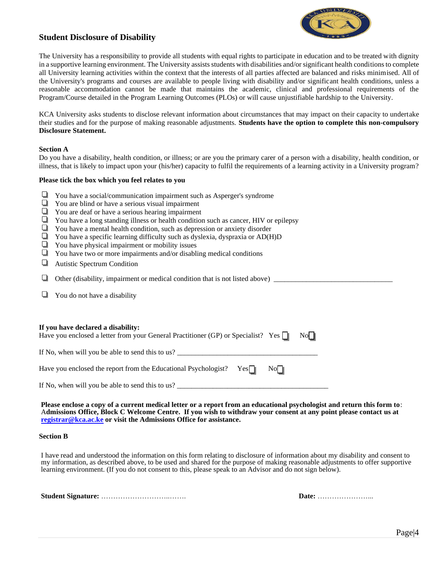

### **Student Disclosure of Disability**

The University has a responsibility to provide all students with equal rights to participate in education and to be treated with dignity in a supportive learning environment. The University assists students with disabilities and/or significant health conditions to complete all University learning activities within the context that the interests of all parties affected are balanced and risks minimised. All of the University's programs and courses are available to people living with disability and/or significant health conditions, unless a reasonable accommodation cannot be made that maintains the academic, clinical and professional requirements of the Program/Course detailed in the Program Learning Outcomes (PLOs) or will cause unjustifiable hardship to the University.

KCA University asks students to disclose relevant information about circumstances that may impact on their capacity to undertake their studies and for the purpose of making reasonable adjustments. **Students have the option to complete this non-compulsory Disclosure Statement.**

#### **Section A**

Do you have a disability, health condition, or illness; or are you the primary carer of a person with a disability, health condition, or illness, that is likely to impact upon your (his/her) capacity to fulfil the requirements of a learning activity in a University program?

#### **Please tick the box which you feel relates to you**

- $\Box$  You have a social/communication impairment such as Asperger's syndrome
- **T** You are blind or have a serious visual impairment
- You are deaf or have a serious hearing impairment
- You have a long standing illness or health condition such as cancer, HIV or epilepsy
- $\Box$  You have a mental health condition, such as depression or anxiety disorder
- $\Box$  You have a specific learning difficulty such as dyslexia, dyspraxia or AD(H)D
- $\Box$  You have physical impairment or mobility issues
- $\Box$  You have two or more impairments and/or disabling medical conditions
- Autistic Spectrum Condition

 $\Box$  Other (disability, impairment or medical condition that is not listed above)  $\Box$ 

 $\Box$  You do not have a disability

| If you have declared a disability:<br>Have you enclosed a letter from your General Practitioner (GP) or Specialist? Yes $\ \cdot\ $ |                            | $\overline{N}$ $\overline{\phantom{a}}$ |
|-------------------------------------------------------------------------------------------------------------------------------------|----------------------------|-----------------------------------------|
| If No, when will you be able to send this to us?                                                                                    |                            |                                         |
| Have you enclosed the report from the Educational Psychologist? $Yes \rightharpoonup$                                               | $\overline{N}$ $\parallel$ |                                         |
| If No, when will you be able to send this to us?                                                                                    |                            |                                         |

**Please enclose a copy of a current medical letter or a report from an educational psychologist and return this form to**: A**dmissions Office, Block C Welcome Centre. If you wish to withdraw your consent at any point please contact us at [registrar@kca.ac.ke](mailto:registrar@kca.ac.ke) or visit the Admissions Office for assistance.**

#### **Section B**

I have read and understood the information on this form relating to disclosure of information about my disability and consent to my information, as described above, to be used and shared for the purpose of making reasonable adjustments to offer supportive learning environment. (If you do not consent to this, please speak to an Advisor and do not sign below).

**Student Signature:** ………………………..……. **Date:** …………………...